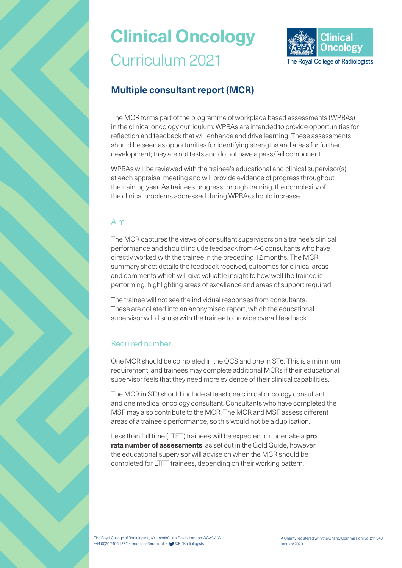

### **Multiple consultant report (MCR)**

The MCR forms part of the programme of workplace based assessments (WPBAs) in the clinical oncology curriculum. WPBAs are intended to provide opportunities for reflection and feedback that will enhance and drive learning. These assessments should be seen as opportunities for identifying strengths and areas for further development; they are not tests and do not have a pass/fail component.

WPBAs will be reviewed with the trainee's educational and clinical supervisor(s) at each appraisal meeting and will provide evidence of progress throughout the training year. As trainees progress through training, the complexity of the clinical problems addressed during WPBAs should increase.

### Aim

The MCR captures the views of consultant supervisors on a trainee's clinical performance and should include feedback from 4-6 consultants who have directly worked with the trainee in the preceding 12 months. The MCR summary sheet details the feedback received, outcomes for clinical areas and comments which will give valuable insight to how well the trainee is performing, highlighting areas of excellence and areas of support required.

The trainee will not see the individual responses from consultants. These are collated into an anonymised report, which the educational supervisor will discuss with the trainee to provide overall feedback.

### Required number

One MCR should be completed in the OCS and one in ST6. This is a minimum requirement, and trainees may complete additional MCRs if their educational supervisor feels that they need more evidence of their clinical capabilities.

The MCR in ST3 should include at least one clinical oncology consultant and one medical oncology consultant. Consultants who have completed the MSF may also contribute to the MCR. The MCR and MSF assess different areas of a trainee's performance, so this would not be a duplication.

Less than full time (LTFT) trainees will be expected to undertake a **pro rata number of assessments**, as set out in the Gold Guide, however the educational supervisor will advise on when the MCR should be completed for LTFT trainees, depending on their working pattern.

The Royal College of Radiologists, 63 Lincoln's Inn Fields, London WC2A 3JW +44 (0)20 7405 1282 • enquiries@rcr.ac.uk • @RCRadiologists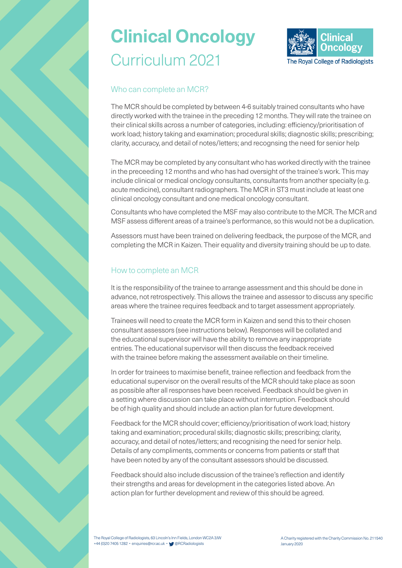

### Who can complete an MCR?

The MCR should be completed by between 4-6 suitably trained consultants who have directly worked with the trainee in the preceding 12 months. They will rate the trainee on their clinical skills across a number of categories, including: efficiency/prioritisation of work load; history taking and examination; procedural skills; diagnostic skills; prescribing; clarity, accuracy, and detail of notes/letters; and recognsing the need for senior help

The MCR may be completed by any consultant who has worked directly with the trainee in the preceeding 12 months and who has had oversight of the trainee's work. This may include clinical or medical onclogy consultants, consultants from another specialty (e.g. acute medicine), consultant radiographers. The MCR in ST3 must include at least one clinical oncology consultant and one medical oncology consultant.

Consultants who have completed the MSF may also contribute to the MCR. The MCR and MSF assess different areas of a trainee's performance, so this would not be a duplication.

Assessors must have been trained on delivering feedback, the purpose of the MCR, and completing the MCR in Kaizen. Their equality and diversity training should be up to date.

### How to complete an MCR

It is the responsibility of the trainee to arrange assessment and this should be done in advance, not retrospectively. This allows the trainee and assessor to discuss any specific areas where the trainee requires feedback and to target assessment appropriately.

Trainees will need to create the MCR form in Kaizen and send this to their chosen consultant assessors (see instructions below). Responses will be collated and the educational supervisor will have the ability to remove any inappropriate entries. The educational supervisor will then discuss the feedback received with the trainee before making the assessment available on their timeline.

In order for trainees to maximise benefit, trainee reflection and feedback from the educational supervisor on the overall results of the MCR should take place as soon as possible after all responses have been received. Feedback should be given in a setting where discussion can take place without interruption. Feedback should be of high quality and should include an action plan for future development.

Feedback for the MCR should cover; efficiency/prioritisation of work load; history taking and examination; procedural skills; diagnostic skills; prescribing; clarity, accuracy, and detail of notes/letters; and recognising the need for senior help. Details of any compliments, comments or concerns from patients or staff that have been noted by any of the consultant assessors should be discussed.

Feedback should also include discussion of the trainee's reflection and identify their strengths and areas for development in the categories listed above. An action plan for further development and review of this should be agreed.

The Royal College of Radiologists, 63 Lincoln's Inn Fields, London WC2A 3JW +44 (0)20 7405 1282 • enquiries@rcr.ac.uk • @RCRadiologists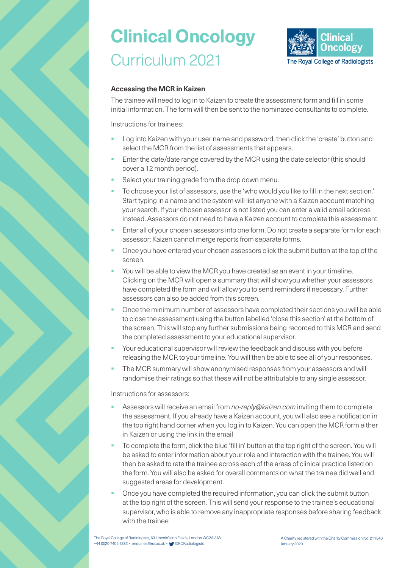

#### **Accessing the MCR in Kaizen**

The trainee will need to log in to Kaizen to create the assessment form and fill in some initial information. The form will then be sent to the nominated consultants to complete.

Instructions for trainees:

- Log into Kaizen with your user name and password, then click the 'create' button and select the MCR from the list of assessments that appears.
- Enter the date/date range covered by the MCR using the date selector (this should cover a 12 month period).
- Select your training grade from the drop down menu.
- § To choose your list of assessors, use the 'who would you like to fill in the next section.' Start typing in a name and the system will list anyone with a Kaizen account matching your search. If your chosen assessor is not listed you can enter a valid email address instead. Assessors do not need to have a Kaizen account to complete this assessment.
- Enter all of your chosen assessors into one form. Do not create a separate form for each assessor; Kaizen cannot merge reports from separate forms.
- § Once you have entered your chosen assessors click the submit button at the top of the screen.
- You will be able to view the MCR you have created as an event in your timeline. Clicking on the MCR will open a summary that will show you whether your assessors have completed the form and will allow you to send reminders if necessary. Further assessors can also be added from this screen.
- § Once the minimum number of assessors have completed their sections you will be able to close the assessment using the button labelled 'close this section' at the bottom of the screen. This will stop any further submissions being recorded to this MCR and send the completed assessment to your educational supervisor.
- Your educational supervisor will review the feedback and discuss with you before releasing the MCR to your timeline. You will then be able to see all of your responses.
- The MCR summary will show anonymised responses from your assessors and will randomise their ratings so that these will not be attributable to any single assessor.

Instructions for assessors:

- § Assessors will receive an email from *no-reply@kaizen.com* inviting them to complete the assessment. If you already have a Kaizen account, you will also see a notification in the top right hand corner when you log in to Kaizen. You can open the MCR form either in Kaizen or using the link in the email
- § To complete the form, click the blue 'fill in' button at the top right of the screen. You will be asked to enter information about your role and interaction with the trainee. You will then be asked to rate the trainee across each of the areas of clinical practice listed on the form. You will also be asked for overall comments on what the trainee did well and suggested areas for development.
- § Once you have completed the required information, you can click the submit button at the top right of the screen. This will send your response to the trainee's educational supervisor, who is able to remove any inappropriate responses before sharing feedback with the trainee